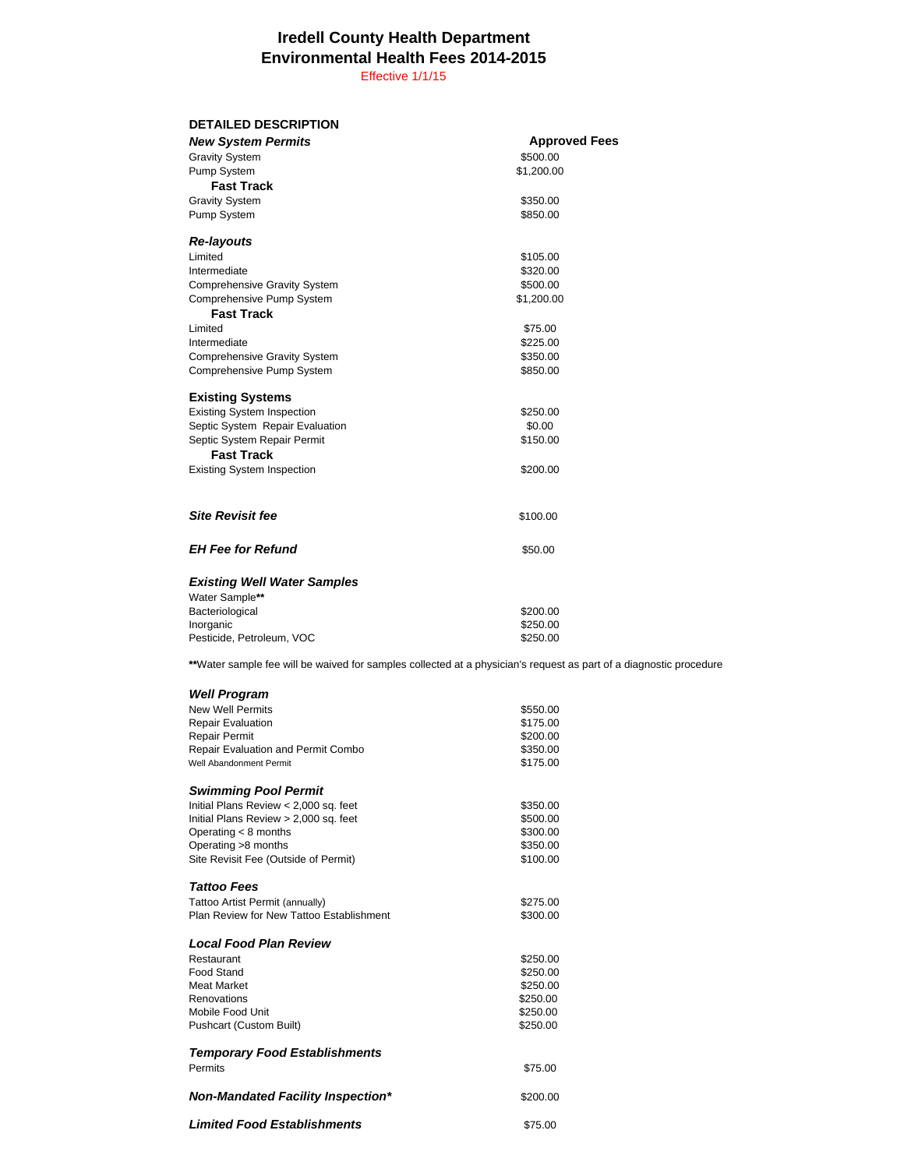## **Iredell County Health Department Environmental Health Fees 2014-2015**

Effective 1/1/15

| <b>DETAILED DESCRIPTION</b>               |                                                                                                                    |
|-------------------------------------------|--------------------------------------------------------------------------------------------------------------------|
| <b>New System Permits</b>                 | <b>Approved Fees</b>                                                                                               |
| <b>Gravity System</b>                     | \$500.00                                                                                                           |
| Pump System                               | \$1,200.00                                                                                                         |
| <b>Fast Track</b>                         |                                                                                                                    |
|                                           |                                                                                                                    |
| <b>Gravity System</b>                     | \$350.00                                                                                                           |
| Pump System                               | \$850.00                                                                                                           |
| <b>Re-layouts</b>                         |                                                                                                                    |
| Limited                                   | \$105.00                                                                                                           |
| Intermediate                              | \$320.00                                                                                                           |
| <b>Comprehensive Gravity System</b>       | \$500.00                                                                                                           |
| Comprehensive Pump System                 | \$1,200.00                                                                                                         |
| <b>Fast Track</b>                         |                                                                                                                    |
| Limited                                   | \$75.00                                                                                                            |
| Intermediate                              | \$225.00                                                                                                           |
| <b>Comprehensive Gravity System</b>       | \$350.00                                                                                                           |
| Comprehensive Pump System                 | \$850.00                                                                                                           |
|                                           |                                                                                                                    |
| <b>Existing Systems</b>                   |                                                                                                                    |
| <b>Existing System Inspection</b>         | \$250.00                                                                                                           |
| Septic System Repair Evaluation           | \$0.00                                                                                                             |
| Septic System Repair Permit               | \$150.00                                                                                                           |
| <b>Fast Track</b>                         |                                                                                                                    |
| <b>Existing System Inspection</b>         | \$200.00                                                                                                           |
|                                           |                                                                                                                    |
|                                           |                                                                                                                    |
| <b>Site Revisit fee</b>                   | \$100.00                                                                                                           |
|                                           |                                                                                                                    |
| <b>EH Fee for Refund</b>                  | \$50.00                                                                                                            |
|                                           |                                                                                                                    |
| <b>Existing Well Water Samples</b>        |                                                                                                                    |
| Water Sample**                            |                                                                                                                    |
| Bacteriological                           | \$200.00                                                                                                           |
| Inorganic                                 | \$250.00                                                                                                           |
| Pesticide, Petroleum, VOC                 | \$250.00                                                                                                           |
|                                           | **Water sample fee will be waived for samples collected at a physician's request as part of a diagnostic procedure |
|                                           |                                                                                                                    |
| <b>Well Program</b>                       |                                                                                                                    |
| <b>New Well Permits</b>                   | \$550.00                                                                                                           |
| <b>Repair Evaluation</b>                  | \$175.00                                                                                                           |
| Repair Permit                             | \$200.00                                                                                                           |
| <b>Repair Evaluation and Permit Combo</b> | \$350.00                                                                                                           |
| Well Abandonment Permit                   | \$175.00                                                                                                           |
|                                           |                                                                                                                    |
| <b>Swimming Pool Permit</b>               |                                                                                                                    |
| Initial Plans Review < 2,000 sq. feet     | \$350.00                                                                                                           |
| Initial Plans Review > 2,000 sq. feet     | \$500.00                                                                                                           |
| Operating $<$ 8 months                    | \$300.00                                                                                                           |
| Operating >8 months                       | \$350.00                                                                                                           |
| Site Revisit Fee (Outside of Permit)      | \$100.00                                                                                                           |
| <b>Tattoo Fees</b>                        |                                                                                                                    |
| Tattoo Artist Permit (annually)           | \$275.00                                                                                                           |
| Plan Review for New Tattoo Establishment  | \$300.00                                                                                                           |
|                                           |                                                                                                                    |
| <b>Local Food Plan Review</b>             |                                                                                                                    |
| Restaurant                                | \$250.00                                                                                                           |
| Food Stand                                | \$250.00                                                                                                           |
| Meat Market<br>Renovations                | \$250.00                                                                                                           |
| Mobile Food Unit                          | \$250.00<br>\$250.00                                                                                               |
| Pushcart (Custom Built)                   | \$250.00                                                                                                           |
|                                           |                                                                                                                    |

## *Temporary Food Establishments* Permits \$75.00 **Non-Mandated Facility Inspection\*** \$200.00

**Limited Food Establishments** \$75.00